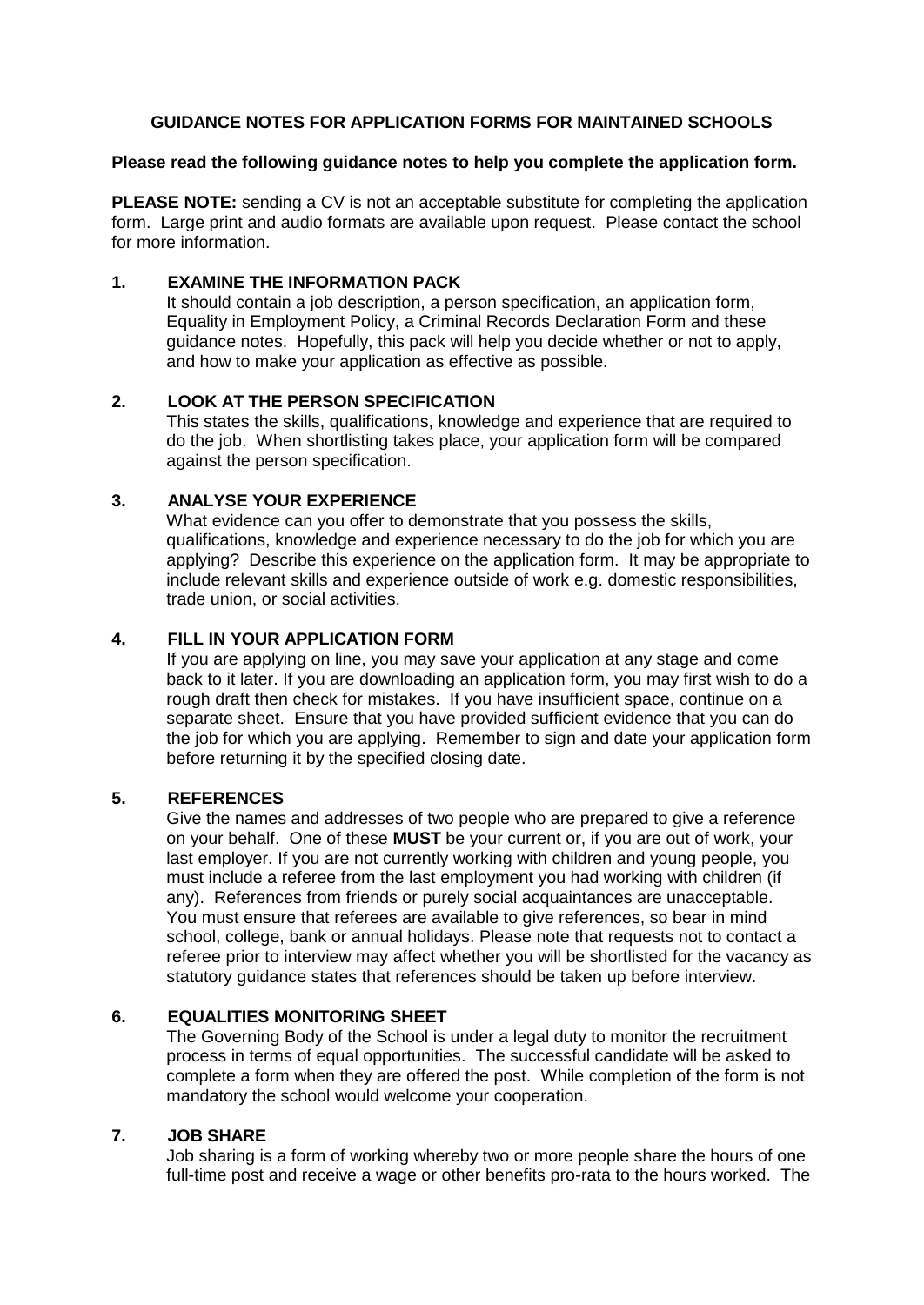### **GUIDANCE NOTES FOR APPLICATION FORMS FOR MAINTAINED SCHOOLS**

#### **Please read the following guidance notes to help you complete the application form.**

**PLEASE NOTE:** sending a CV is not an acceptable substitute for completing the application form. Large print and audio formats are available upon request. Please contact the school for more information.

#### **1. EXAMINE THE INFORMATION PACK**

It should contain a job description, a person specification, an application form, Equality in Employment Policy, a Criminal Records Declaration Form and these guidance notes. Hopefully, this pack will help you decide whether or not to apply, and how to make your application as effective as possible.

# **2. LOOK AT THE PERSON SPECIFICATION**

This states the skills, qualifications, knowledge and experience that are required to do the job. When shortlisting takes place, your application form will be compared against the person specification.

#### **3. ANALYSE YOUR EXPERIENCE**

What evidence can you offer to demonstrate that you possess the skills, qualifications, knowledge and experience necessary to do the job for which you are applying? Describe this experience on the application form. It may be appropriate to include relevant skills and experience outside of work e.g. domestic responsibilities, trade union, or social activities.

# **4. FILL IN YOUR APPLICATION FORM**

If you are applying on line, you may save your application at any stage and come back to it later. If you are downloading an application form, you may first wish to do a rough draft then check for mistakes. If you have insufficient space, continue on a separate sheet. Ensure that you have provided sufficient evidence that you can do the job for which you are applying. Remember to sign and date your application form before returning it by the specified closing date.

#### **5. REFERENCES**

Give the names and addresses of two people who are prepared to give a reference on your behalf. One of these **MUST** be your current or, if you are out of work, your last employer. If you are not currently working with children and young people, you must include a referee from the last employment you had working with children (if any). References from friends or purely social acquaintances are unacceptable. You must ensure that referees are available to give references, so bear in mind school, college, bank or annual holidays. Please note that requests not to contact a referee prior to interview may affect whether you will be shortlisted for the vacancy as statutory guidance states that references should be taken up before interview.

## **6. EQUALITIES MONITORING SHEET**

The Governing Body of the School is under a legal duty to monitor the recruitment process in terms of equal opportunities. The successful candidate will be asked to complete a form when they are offered the post. While completion of the form is not mandatory the school would welcome your cooperation.

#### **7. JOB SHARE**

Job sharing is a form of working whereby two or more people share the hours of one full-time post and receive a wage or other benefits pro-rata to the hours worked. The